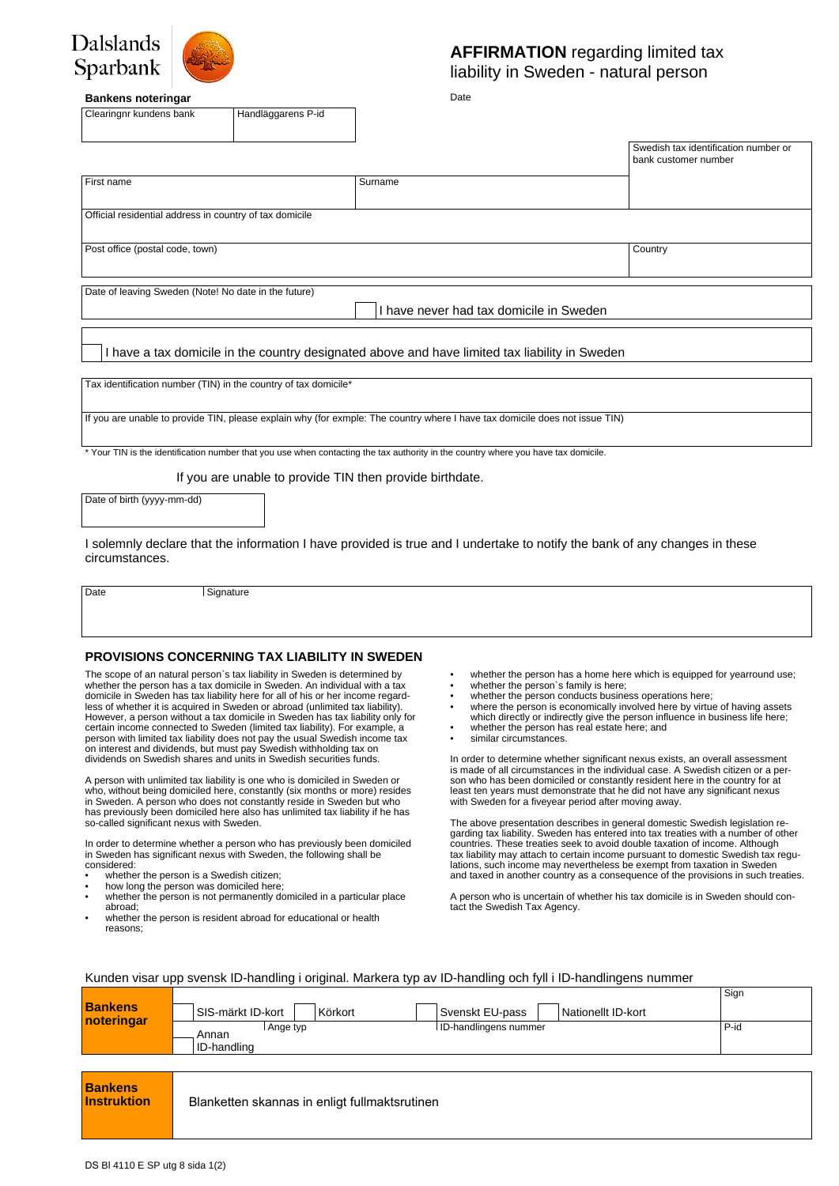



## **AFFIRMATION** regarding limited tax liability in Sweden - natural person

Date

#### **Bankens noteringar**

Clearingnr kundens bank Handläggarens P-id

|                                                                                                |         | Swedish tax identification number or<br>bank customer number |  |  |
|------------------------------------------------------------------------------------------------|---------|--------------------------------------------------------------|--|--|
|                                                                                                |         |                                                              |  |  |
| First name                                                                                     | Surname |                                                              |  |  |
|                                                                                                |         |                                                              |  |  |
|                                                                                                |         |                                                              |  |  |
| Official residential address in country of tax domicile                                        |         |                                                              |  |  |
|                                                                                                |         |                                                              |  |  |
|                                                                                                |         |                                                              |  |  |
| Post office (postal code, town)                                                                |         | Country                                                      |  |  |
|                                                                                                |         |                                                              |  |  |
|                                                                                                |         |                                                              |  |  |
|                                                                                                |         |                                                              |  |  |
| Date of leaving Sweden (Note! No date in the future)                                           |         |                                                              |  |  |
| have never had tax domicile in Sweden                                                          |         |                                                              |  |  |
|                                                                                                |         |                                                              |  |  |
|                                                                                                |         |                                                              |  |  |
|                                                                                                |         |                                                              |  |  |
| I have a tax domicile in the country designated above and have limited tax liability in Sweden |         |                                                              |  |  |
|                                                                                                |         |                                                              |  |  |
|                                                                                                |         |                                                              |  |  |
| Tax identification number (TIN) in the country of tax domicile*                                |         |                                                              |  |  |
|                                                                                                |         |                                                              |  |  |

If you are unable to provide TIN, please explain why (for exmple: The country where I have tax domicile does not issue TIN)

\* Your TIN is the identification number that you use when contacting the tax authority in the country where you have tax domicile.

If you are unable to provide TIN then provide birthdate.

Date of birth (yyyy-mm-dd)

I solemnly declare that the information I have provided is true and I undertake to notify the bank of any changes in these circumstances.

Date Signature

### **PROVISIONS CONCERNING TAX LIABILITY IN SWEDEN**

The scope of an natural person`s tax liability in Sweden is determined by whether the person has a tax domicile in Sweden. An individual with a tax domicile in Sweden has tax liability here for all of his or her income regardless of whether it is acquired in Sweden or abroad (unlimited tax liability). However, a person without a tax domicile in Sweden has tax liability only for certain income connected to Sweden (limited tax liability). For example, a person with limited tax liability does not pay the usual Swedish income tax on interest and dividends, but must pay Swedish withholding tax on dividends on Swedish shares and units in Swedish securities funds.

A person with unlimited tax liability is one who is domiciled in Sweden or who, without being domiciled here, constantly (six months or more) resides in Sweden. A person who does not constantly reside in Sweden but who has previously been domiciled here also has unlimited tax liability if he has so-called significant nexus with Sweden.

In order to determine whether a person who has previously been domiciled in Sweden has significant nexus with Sweden, the following shall be considered:

- whether the person is a Swedish citizen;
- how long the person is a owedish clubch; whether the person is not permanently domiciled in a particular place
- abroad; whether the person is resident abroad for educational or health
- reasons;
- whether the person has a home here which is equipped for yearround use;
- whether the person's family is here:
- whether the person conducts business operations here;<br>• where the person is economically involved here by virtual where the person is economically involved here by virtue of having assets
- which directly or indirectly give the person influence in business life here;
- whether the person has real estate here; and
- similar circumstances.

In order to determine whether significant nexus exists, an overall assessment is made of all circumstances in the individual case. A Swedish citizen or a person who has been domiciled or constantly resident here in the country for at least ten years must demonstrate that he did not have any significant nexus with Sweden for a fiveyear period after moving away.

The above presentation describes in general domestic Swedish legislation regarding tax liability. Sweden has entered into tax treaties with a number of other countries. These treaties seek to avoid double taxation of income. Although tax liability may attach to certain income pursuant to domestic Swedish tax regulations, such income may nevertheless be exempt from taxation in Sweden and taxed in another country as a consequence of the provisions in such treaties.

A person who is uncertain of whether his tax domicile is in Sweden should contact the Swedish Tax Agency.

### Kunden visar upp svensk ID-handling i original. Markera typ av ID-handling och fyll i ID-handlingens nummer

| <b>Bankens</b><br>noteringar         | SIS-märkt ID-kort<br>Svenskt EU-pass<br>Körkort<br>Nationellt ID-kort |      |  |  |
|--------------------------------------|-----------------------------------------------------------------------|------|--|--|
|                                      | ID-handlingens nummer<br>Ange typ<br>Annan<br>ID-handling             | P-id |  |  |
|                                      |                                                                       |      |  |  |
| <b>Bankens</b><br><b>Instruktion</b> | Blanketten skannas in enligt fullmaktsrutinen                         |      |  |  |